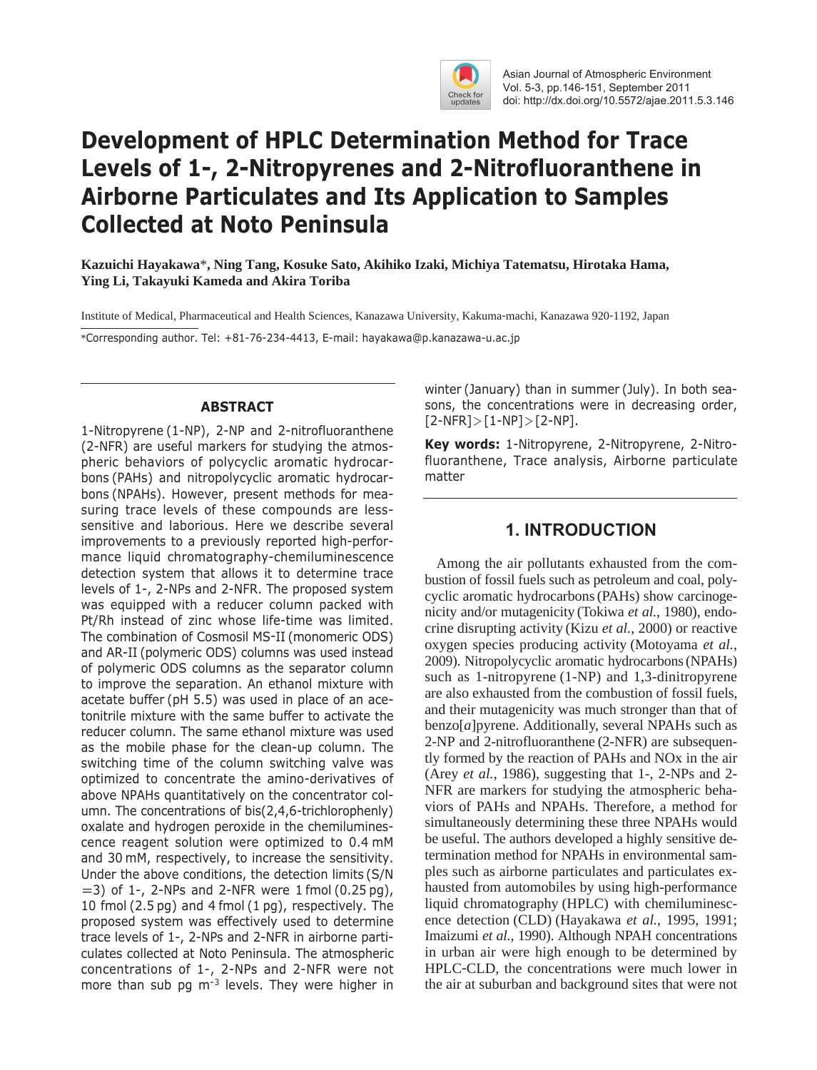

Asian Journal of Atmospheric Environment Vol. 5-3, pp.146-151, September 2011 doi: http://dx.doi.org/10.5572/ajae.2011.5.3.146

# **Development of HPLC Determination Method for Trace Levels of 1-, 2-Nitropyrenes and 2-Nitrofluoranthene in Airborne Particulates and Its Application to Samples Collected at Noto Peninsula**

**Kazuichi Hayakawa**\***, Ning Tang, Kosuke Sato, Akihiko Izaki, Michiya Tatematsu, Hirotaka Hama, Ying Li, Takayuki Kameda and Akira Toriba**

Institute of Medical, Pharmaceutical and Health Sciences, Kanazawa University, Kakuma-machi, Kanazawa 920-1192, Japan \*Corresponding author. Tel: +81-76-234-4413, E-mail: hayakawa@p.kanazawa-u.ac.jp

## **ABSTRACT**

1-Nitropyrene (1-NP), 2-NP and 2-nitrofluoranthene (2-NFR) are useful markers for studying the atmospheric behaviors of polycyclic aromatic hydrocarbons (PAHs) and nitropolycyclic aromatic hydrocarbons (NPAHs). However, present methods for measuring trace levels of these compounds are lesssensitive and laborious. Here we describe several improvements to a previously reported high-performance liquid chromatography-chemiluminescence detection system that allows it to determine trace levels of 1-, 2-NPs and 2-NFR. The proposed system was equipped with a reducer column packed with Pt/Rh instead of zinc whose life-time was limited. The combination of Cosmosil MS-II (monomeric ODS) and AR-II (polymeric ODS) columns was used instead of polymeric ODS columns as the separator column to improve the separation. An ethanol mixture with acetate buffer (pH 5.5) was used in place of an acetonitrile mixture with the same buffer to activate the reducer column. The same ethanol mixture was used as the mobile phase for the clean-up column. The switching time of the column switching valve was optimized to concentrate the amino-derivatives of above NPAHs quantitatively on the concentrator column. The concentrations of bis(2,4,6-trichlorophenly) oxalate and hydrogen peroxide in the chemiluminescence reagent solution were optimized to 0.4 mM and 30 mM, respectively, to increase the sensitivity. Under the above conditions, the detection limits (S/N  $=$  3) of 1-, 2-NPs and 2-NFR were 1 fmol  $(0.25 \text{ pg})$ , 10 fmol (2.5 pg) and 4 fmol (1 pg), respectively. The proposed system was effectively used to determine trace levels of 1-, 2-NPs and 2-NFR in airborne particulates collected at Noto Peninsula. The atmospheric concentrations of 1-, 2-NPs and 2-NFR were not more than sub pg  $m^{-3}$  levels. They were higher in

winter (January) than in summer (July). In both seasons, the concentrations were in decreasing order,  $[2-NFR] > [1-NP] > [2-NP].$ 

**Key words:** 1-Nitropyrene, 2-Nitropyrene, 2-Nitrofluoranthene, Trace analysis, Airborne particulate matter

# **1. INTRODUCTION**

Among the air pollutants exhausted from the combustion of fossil fuels such as petroleum and coal, polycyclic aromatic hydrocarbons (PAHs) show carcinogenicity and/or mutagenicity (Tokiwa *et al.*, 1980), endocrine disrupting activity (Kizu *et al.*, 2000) or reactive oxygen species producing activity (Motoyama *et al.*, 2009). Nitropolycyclic aromatic hydrocarbons (NPAHs) such as 1-nitropyrene (1-NP) and 1,3-dinitropyrene are also exhausted from the combustion of fossil fuels, and their mutagenicity was much stronger than that of benzo[*a*]pyrene. Additionally, several NPAHs such as 2-NP and 2-nitrofluoranthene (2-NFR) are subsequently formed by the reaction of PAHs and NOx in the air (Arey *et al.*, 1986), suggesting that 1-, 2-NPs and 2- NFR are markers for studying the atmospheric behaviors of PAHs and NPAHs. Therefore, a method for simultaneously determining these three NPAHs would be useful. The authors developed a highly sensitive determination method for NPAHs in environmental samples such as airborne particulates and particulates exhausted from automobiles by using high-performance liquid chromatography (HPLC) with chemiluminescence detection (CLD) (Hayakawa *et al.*, 1995, 1991; Imaizumi *et al.*, 1990). Although NPAH concentrations in urban air were high enough to be determined by HPLC-CLD, the concentrations were much lower in the air at suburban and background sites that were not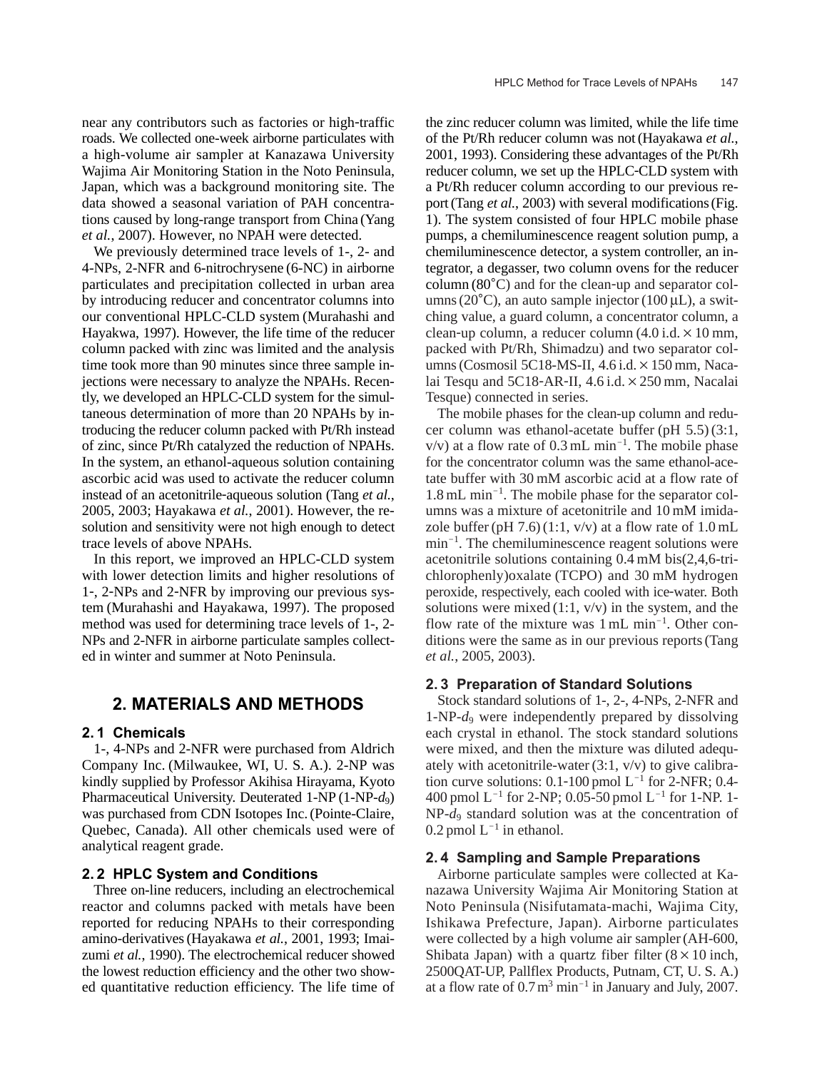near any contributors such as factories or high-traffic roads. We collected one-week airborne particulates with a high-volume air sampler at Kanazawa University Wajima Air Monitoring Station in the Noto Peninsula, Japan, which was a background monitoring site. The data showed a seasonal variation of PAH concentrations caused by long-range transport from China (Yang *et al.*, 2007). However, no NPAH were detected.

We previously determined trace levels of 1-, 2- and 4-NPs, 2-NFR and 6-nitrochrysene (6-NC) in airborne particulates and precipitation collected in urban area by introducing reducer and concentrator columns into our conventional HPLC-CLD system (Murahashi and Hayakwa, 1997). However, the life time of the reducer column packed with zinc was limited and the analysis time took more than 90 minutes since three sample injections were necessary to analyze the NPAHs. Recently, we developed an HPLC-CLD system for the simultaneous determination of more than 20 NPAHs by introducing the reducer column packed with Pt/Rh instead of zinc, since Pt/Rh catalyzed the reduction of NPAHs. In the system, an ethanol-aqueous solution containing ascorbic acid was used to activate the reducer column instead of an acetonitrile-aqueous solution (Tang *et al.*, 2005, 2003; Hayakawa *et al.*, 2001). However, the resolution and sensitivity were not high enough to detect trace levels of above NPAHs.

In this report, we improved an HPLC-CLD system with lower detection limits and higher resolutions of 1-, 2-NPs and 2-NFR by improving our previous system (Murahashi and Hayakawa, 1997). The proposed method was used for determining trace levels of 1-, 2- NPs and 2-NFR in airborne particulate samples collected in winter and summer at Noto Peninsula.

## **2. MATERIALS AND METHODS**

#### **2. 1 Chemicals**

1-, 4-NPs and 2-NFR were purchased from Aldrich Company Inc. (Milwaukee, WI, U. S. A.). 2-NP was kindly supplied by Professor Akihisa Hirayama, Kyoto Pharmaceutical University. Deuterated 1-NP (1-NP-*d*9) was purchased from CDN Isotopes Inc. (Pointe-Claire, Quebec, Canada). All other chemicals used were of analytical reagent grade.

#### **2. 2 HPLC System and Conditions**

Three on-line reducers, including an electrochemical reactor and columns packed with metals have been reported for reducing NPAHs to their corresponding amino-derivatives (Hayakawa *et al.*, 2001, 1993; Imaizumi *et al.*, 1990). The electrochemical reducer showed the lowest reduction efficiency and the other two showed quantitative reduction efficiency. The life time of the zinc reducer column was limited, while the life time of the Pt/Rh reducer column was not (Hayakawa *et al.*, 2001, 1993). Considering these advantages of the Pt/Rh reducer column, we set up the HPLC-CLD system with a Pt/Rh reducer column according to our previous report (Tang *et al.*, 2003) with several modifications (Fig. 1). The system consisted of four HPLC mobile phase pumps, a chemiluminescence reagent solution pump, a chemiluminescence detector, a system controller, an integrator, a degasser, two column ovens for the reducer column  $(80^{\circ}$ C) and for the clean-up and separator columns (20 $^{\circ}$ C), an auto sample injector (100 µL), a switching value, a guard column, a concentrator column, a clean-up column, a reducer column  $(4.0 i.d. \times 10 \text{ mm})$ , packed with Pt/Rh, Shimadzu) and two separator columns (Cosmosil 5C18-MS-II, 4.6 i.d.×150 mm, Nacalai Tesqu and  $5C18-AR-II.$  4.6 i.d.  $\times$  250 mm, Nacalai Tesque) connected in series.

The mobile phases for the clean-up column and reducer column was ethanol-acetate buffer (pH 5.5) (3:1,  $v/v$ ) at a flow rate of 0.3 mL min<sup>-1</sup>. The mobile phase for the concentrator column was the same ethanol-acetate buffer with 30 mM ascorbic acid at a flow rate of 1.8 mL min-<sup>1</sup> . The mobile phase for the separator columns was a mixture of acetonitrile and 10 mM imidazole buffer (pH  $7.6$ ) (1:1, v/v) at a flow rate of  $1.0$  mL min-<sup>1</sup> . The chemiluminescence reagent solutions were acetonitrile solutions containing 0.4 mM bis(2,4,6-trichlorophenly)oxalate (TCPO) and 30 mM hydrogen peroxide, respectively, each cooled with ice-water. Both solutions were mixed  $(1:1, v/v)$  in the system, and the flow rate of the mixture was 1 mL min<sup>-1</sup>. Other conditions were the same as in our previous reports (Tang *et al.*, 2005, 2003).

#### **2. 3 Preparation of Standard Solutions**

Stock standard solutions of 1-, 2-, 4-NPs, 2-NFR and 1-NP-*d*<sup>9</sup> were independently prepared by dissolving each crystal in ethanol. The stock standard solutions were mixed, and then the mixture was diluted adequately with acetonitrile-water  $(3:1, v/v)$  to give calibration curve solutions:  $0.1\n-100$  pmol  $L^{-1}$  for 2-NFR;  $0.4\n-$ 400 pmol  $L^{-1}$  for 2-NP; 0.05-50 pmol  $L^{-1}$  for 1-NP. 1-NP-*d*<sup>9</sup> standard solution was at the concentration of  $0.2$  pmol  $L^{-1}$  in ethanol.

#### **2. 4 Sampling and Sample Preparations**

Airborne particulate samples were collected at Kanazawa University Wajima Air Monitoring Station at Noto Peninsula (Nisifutamata-machi, Wajima City, Ishikawa Prefecture, Japan). Airborne particulates were collected by a high volume air sampler (AH-600, Shibata Japan) with a quartz fiber filter  $(8 \times 10)$  inch, 2500QAT-UP, Pallflex Products, Putnam, CT, U. S. A.) at a flow rate of  $0.7 \,\mathrm{m}^3 \,\mathrm{min}^{-1}$  in January and July, 2007.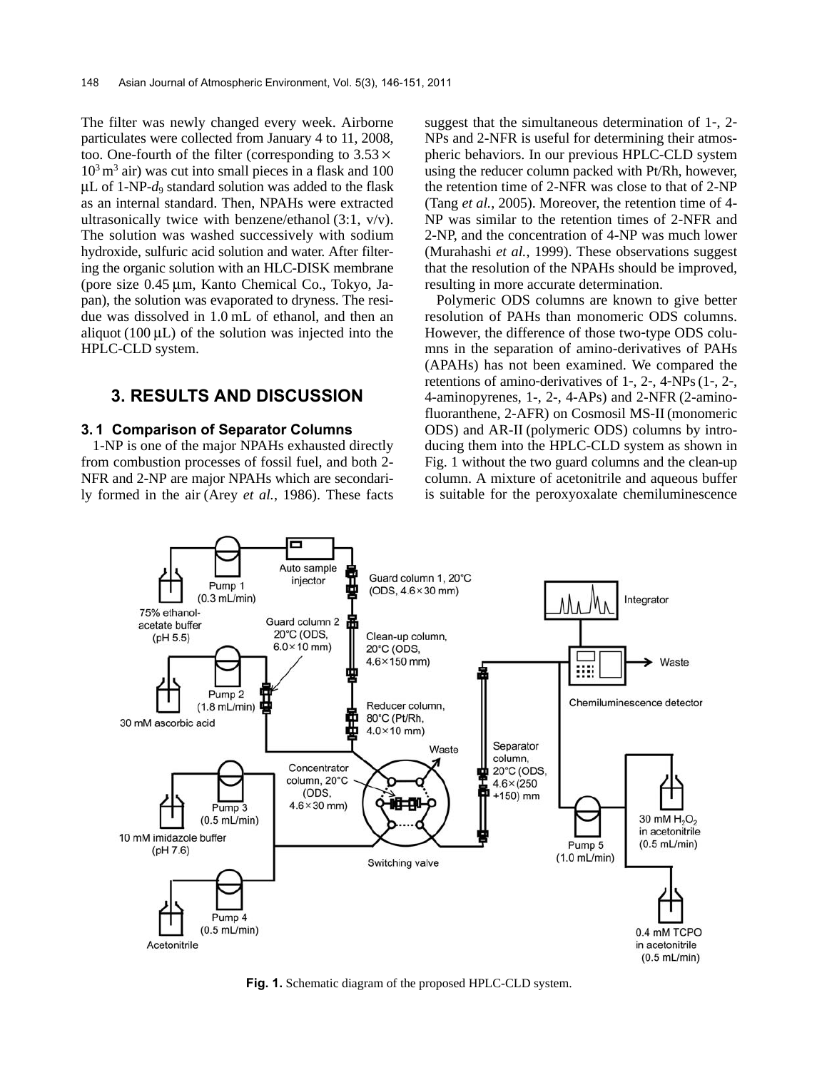The filter was newly changed every week. Airborne particulates were collected from January 4 to 11, 2008, too. One-fourth of the filter (corresponding to  $3.53 \times$  $10<sup>3</sup>$  m<sup>3</sup> air) was cut into small pieces in a flask and 100  $\mu$ L of 1-NP- $d_9$  standard solution was added to the flask as an internal standard. Then, NPAHs were extracted ultrasonically twice with benzene/ethanol (3:1, v/v). The solution was washed successively with sodium hydroxide, sulfuric acid solution and water. After filtering the organic solution with an HLC-DISK membrane (pore size 0.45 μm, Kanto Chemical Co., Tokyo, Japan), the solution was evaporated to dryness. The residue was dissolved in 1.0 mL of ethanol, and then an aliquot (100  $\mu$ L) of the solution was injected into the HPLC-CLD system.

## **3. RESULTS AND DISCUSSION**

#### **3. 1 Comparison of Separator Columns**

1-NP is one of the major NPAHs exhausted directly from combustion processes of fossil fuel, and both 2- NFR and 2-NP are major NPAHs which are secondarily formed in the air (Arey *et al.*, 1986). These facts suggest that the simultaneous determination of 1-, 2- NPs and 2-NFR is useful for determining their atmospheric behaviors. In our previous HPLC-CLD system using the reducer column packed with Pt/Rh, however, the retention time of 2-NFR was close to that of 2-NP (Tang *et al.*, 2005). Moreover, the retention time of 4- NP was similar to the retention times of 2-NFR and 2-NP, and the concentration of 4-NP was much lower (Murahashi *et al.*, 1999). These observations suggest that the resolution of the NPAHs should be improved, resulting in more accurate determination.

Polymeric ODS columns are known to give better resolution of PAHs than monomeric ODS columns. However, the difference of those two-type ODS columns in the separation of amino-derivatives of PAHs (APAHs) has not been examined. We compared the retentions of amino-derivatives of 1-, 2-, 4-NPs (1-, 2-, 4-aminopyrenes, 1-, 2-, 4-APs) and 2-NFR (2-aminofluoranthene, 2-AFR) on Cosmosil MS-II (monomeric ODS) and AR-II (polymeric ODS) columns by introducing them into the HPLC-CLD system as shown in Fig. 1 without the two guard columns and the clean-up column. A mixture of acetonitrile and aqueous buffer is suitable for the peroxyoxalate chemiluminescence



**Fig. 1.** Schematic diagram of the proposed HPLC-CLD system.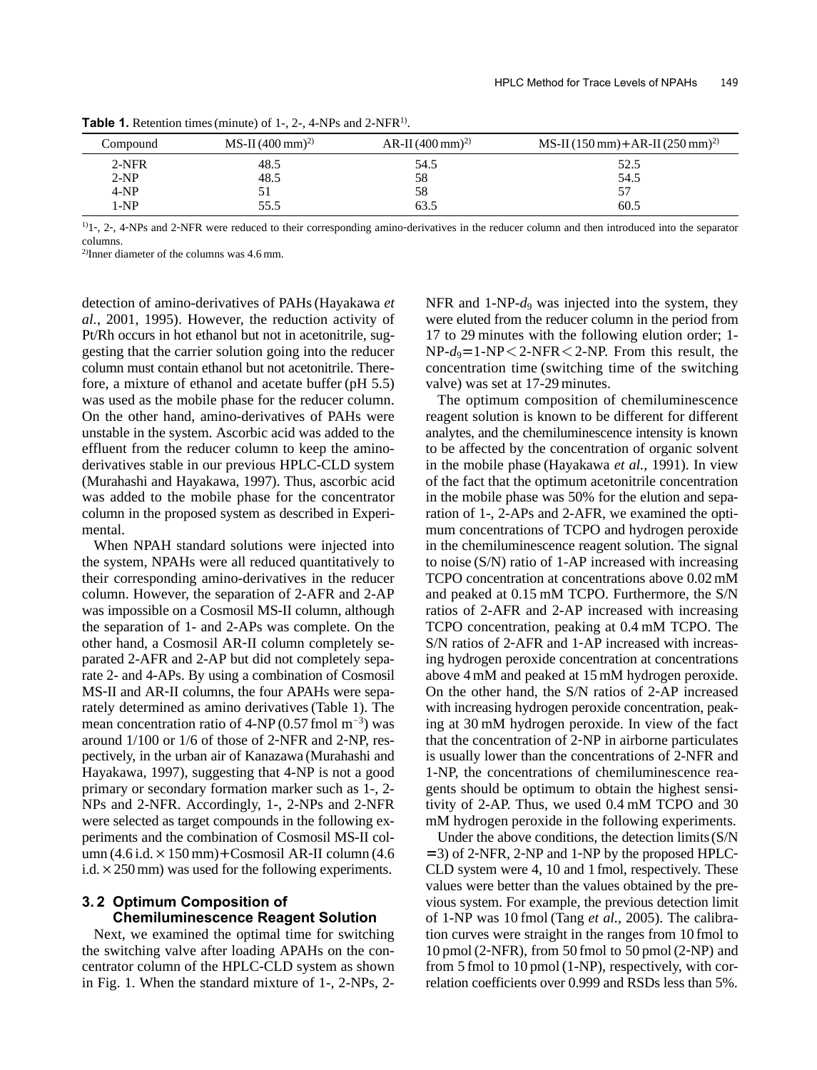| Compound | MS-II $(400 \text{ mm})^{2}$ | AR-II $(400 \text{ mm})^{2}$ | MS-II $(150 \text{ mm}) + \text{AR-II} (250 \text{ mm})^{2}$ |
|----------|------------------------------|------------------------------|--------------------------------------------------------------|
| $2-NFR$  | 48.5                         | 54.5                         | 52.5                                                         |
| $2-NP$   | 48.5                         | 58                           | 54.5                                                         |
| $4-NP$   | 51                           | 58                           | 57                                                           |
| 1-NP     | 55.5                         | 63.5                         | 60.5                                                         |

**Table 1.** Retention times (minute) of 1-, 2-, 4-NPs and 2-NFR<sup>1)</sup>.

<sup>1)</sup>1-, 2-, 4-NPs and 2-NFR were reduced to their corresponding amino-derivatives in the reducer column and then introduced into the separator columns.

2)Inner diameter of the columns was 4.6 mm.

detection of amino-derivatives of PAHs (Hayakawa *et al.*, 2001, 1995). However, the reduction activity of Pt/Rh occurs in hot ethanol but not in acetonitrile, suggesting that the carrier solution going into the reducer column must contain ethanol but not acetonitrile. Therefore, a mixture of ethanol and acetate buffer (pH 5.5) was used as the mobile phase for the reducer column. On the other hand, amino-derivatives of PAHs were unstable in the system. Ascorbic acid was added to the effluent from the reducer column to keep the aminoderivatives stable in our previous HPLC-CLD system (Murahashi and Hayakawa, 1997). Thus, ascorbic acid was added to the mobile phase for the concentrator column in the proposed system as described in Experimental.

When NPAH standard solutions were injected into the system, NPAHs were all reduced quantitatively to their corresponding amino-derivatives in the reducer column. However, the separation of 2-AFR and 2-AP was impossible on a Cosmosil MS-II column, although the separation of 1- and 2-APs was complete. On the other hand, a Cosmosil AR-II column completely separated 2-AFR and 2-AP but did not completely separate 2- and 4-APs. By using a combination of Cosmosil MS-II and AR-II columns, the four APAHs were separately determined as amino derivatives (Table 1). The mean concentration ratio of  $4-NP(0.57 \text{ fmol m}^{-3})$  was around 1/100 or 1/6 of those of 2-NFR and 2-NP, respectively, in the urban air of Kanazawa (Murahashi and Hayakawa, 1997), suggesting that 4-NP is not a good primary or secondary formation marker such as 1-, 2- NPs and 2-NFR. Accordingly, 1-, 2-NPs and 2-NFR were selected as target compounds in the following experiments and the combination of Cosmosil MS-II column  $(4.6 i.d. \times 150 \text{ mm}) + \text{Cosmosil AR-II column}$  (4.6 i.d.  $\times$  250 mm) was used for the following experiments.

### **3. 2 Optimum Composition of Chemiluminescence Reagent Solution**

Next, we examined the optimal time for switching the switching valve after loading APAHs on the concentrator column of the HPLC-CLD system as shown in Fig. 1. When the standard mixture of 1-, 2-NPs, 2NFR and 1-NP- $d_9$  was injected into the system, they were eluted from the reducer column in the period from 17 to 29 minutes with the following elution order; 1-  $NP-d_9=1-NP<2-NFR<2-NP$ . From this result, the concentration time (switching time of the switching valve) was set at 17-29 minutes.

The optimum composition of chemiluminescence reagent solution is known to be different for different analytes, and the chemiluminescence intensity is known to be affected by the concentration of organic solvent in the mobile phase (Hayakawa *et al.*, 1991). In view of the fact that the optimum acetonitrile concentration in the mobile phase was 50% for the elution and separation of 1-, 2-APs and 2-AFR, we examined the optimum concentrations of TCPO and hydrogen peroxide in the chemiluminescence reagent solution. The signal to noise (S/N) ratio of 1-AP increased with increasing TCPO concentration at concentrations above 0.02 mM and peaked at 0.15 mM TCPO. Furthermore, the S/N ratios of 2-AFR and 2-AP increased with increasing TCPO concentration, peaking at 0.4 mM TCPO. The S/N ratios of 2-AFR and 1-AP increased with increasing hydrogen peroxide concentration at concentrations above 4 mM and peaked at 15 mM hydrogen peroxide. On the other hand, the S/N ratios of 2-AP increased with increasing hydrogen peroxide concentration, peaking at 30 mM hydrogen peroxide. In view of the fact that the concentration of 2-NP in airborne particulates is usually lower than the concentrations of 2-NFR and 1-NP, the concentrations of chemiluminescence reagents should be optimum to obtain the highest sensitivity of 2-AP. Thus, we used 0.4 mM TCPO and 30 mM hydrogen peroxide in the following experiments.

Under the above conditions, the detection limits(S/N =3) of 2-NFR, 2-NP and 1-NP by the proposed HPLC-CLD system were 4, 10 and 1 fmol, respectively. These values were better than the values obtained by the previous system. For example, the previous detection limit of 1-NP was 10 fmol (Tang *et al.*, 2005). The calibration curves were straight in the ranges from 10 fmol to 10 pmol (2-NFR), from 50 fmol to 50 pmol (2-NP) and from 5 fmol to 10 pmol (1-NP), respectively, with correlation coefficients over 0.999 and RSDs less than 5%.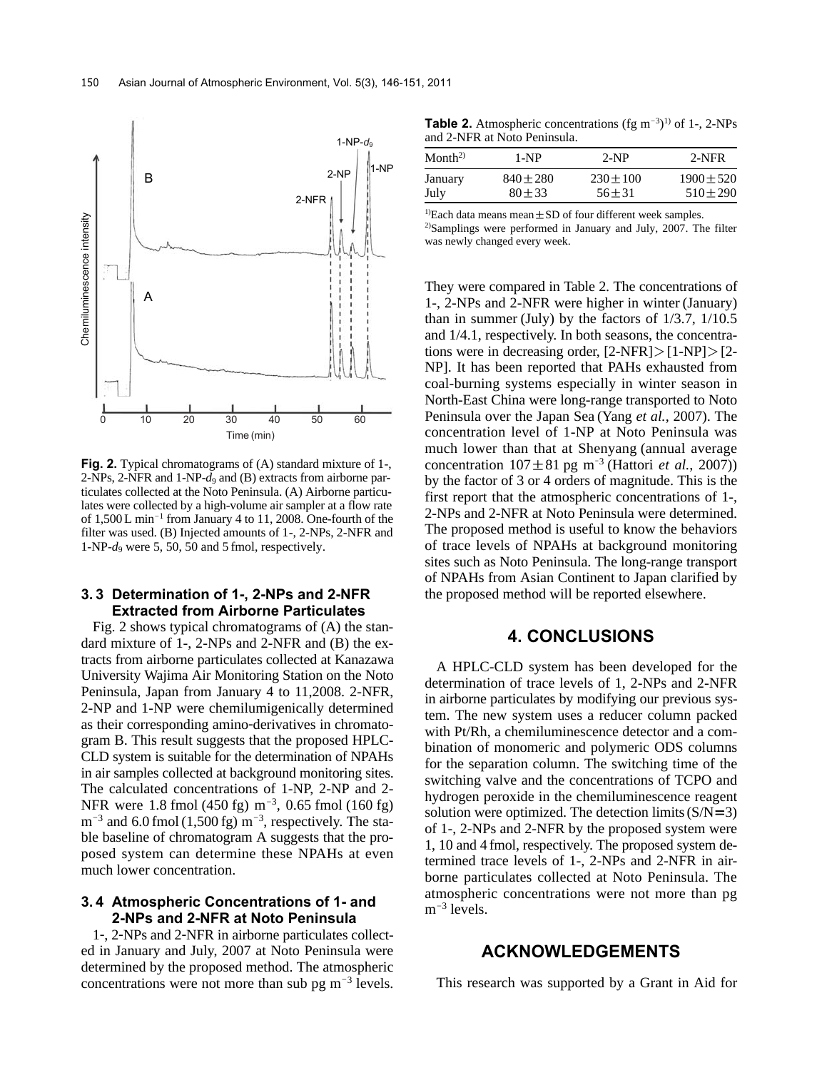

**Fig. 2.** Typical chromatograms of (A) standard mixture of 1-, 2-NPs, 2-NFR and 1-NP- $d_9$  and (B) extracts from airborne particulates collected at the Noto Peninsula. (A) Airborne particulates were collected by a high-volume air sampler at a flow rate of 1,500 L min-<sup>1</sup> from January 4 to 11, 2008. One-fourth of the filter was used. (B) Injected amounts of 1-, 2-NPs, 2-NFR and 1-NP-*d*<sup>9</sup> were 5, 50, 50 and 5 fmol, respectively.

## **3. 3 Determination of 1-, 2-NPs and 2-NFR Extracted from Airborne Particulates**

Fig. 2 shows typical chromatograms of (A) the standard mixture of 1-, 2-NPs and 2-NFR and (B) the extracts from airborne particulates collected at Kanazawa University Wajima Air Monitoring Station on the Noto Peninsula, Japan from January 4 to 11,2008. 2-NFR, 2-NP and 1-NP were chemilumigenically determined as their corresponding amino-derivatives in chromatogram B. This result suggests that the proposed HPLC-CLD system is suitable for the determination of NPAHs in air samples collected at background monitoring sites. The calculated concentrations of 1-NP, 2-NP and 2- NFR were 1.8 fmol  $(450 \text{ fg}) \text{ m}^{-3}$ , 0.65 fmol  $(160 \text{ fg})$  $m^{-3}$  and 6.0 fmol (1,500 fg)  $m^{-3}$ , respectively. The stable baseline of chromatogram A suggests that the proposed system can determine these NPAHs at even much lower concentration.

## **3. 4 Atmospheric Concentrations of 1- and 2-NPs and 2-NFR at Noto Peninsula**

1-, 2-NPs and 2-NFR in airborne particulates collected in January and July, 2007 at Noto Peninsula were determined by the proposed method. The atmospheric concentrations were not more than sub pg  $m^{-3}$  levels.

**Table 2.** Atmospheric concentrations  $(fg m^{-3})^{1}$  of 1-, 2-NPs and 2-NFR at Noto Peninsula.

| $M$ onth <sup>2)</sup> | 1-NP        | $2-NP$      | $2-NFR$      |
|------------------------|-------------|-------------|--------------|
| January                | $840 + 280$ | $230 + 100$ | $1900 + 520$ |
| July                   | $80 + 33$   | $56 + 31$   | $510 + 290$  |

<sup>1)</sup>Each data means mean $\pm$ SD of four different week samples. 2)Samplings were performed in January and July, 2007. The filter was newly changed every week.

They were compared in Table 2. The concentrations of 1-, 2-NPs and 2-NFR were higher in winter (January) than in summer (July) by the factors of 1/3.7, 1/10.5 and 1/4.1, respectively. In both seasons, the concentrations were in decreasing order,  $[2-NFR]$   $>[1-NP]$   $>[2-$ NP]. It has been reported that PAHs exhausted from coal-burning systems especially in winter season in North-East China were long-range transported to Noto Peninsula over the Japan Sea (Yang *et al.*, 2007). The concentration level of 1-NP at Noto Peninsula was much lower than that at Shenyang (annual average concentration  $107 \pm 81$  pg m<sup>-3</sup> (Hattori *et al.*, 2007)) by the factor of 3 or 4 orders of magnitude. This is the first report that the atmospheric concentrations of 1-, 2-NPs and 2-NFR at Noto Peninsula were determined. The proposed method is useful to know the behaviors of trace levels of NPAHs at background monitoring sites such as Noto Peninsula. The long-range transport of NPAHs from Asian Continent to Japan clarified by the proposed method will be reported elsewhere.

# **4. CONCLUSIONS**

A HPLC-CLD system has been developed for the determination of trace levels of 1, 2-NPs and 2-NFR in airborne particulates by modifying our previous system. The new system uses a reducer column packed with Pt/Rh, a chemiluminescence detector and a combination of monomeric and polymeric ODS columns for the separation column. The switching time of the switching valve and the concentrations of TCPO and hydrogen peroxide in the chemiluminescence reagent solution were optimized. The detection limits  $(S/N=3)$ of 1-, 2-NPs and 2-NFR by the proposed system were 1, 10 and 4 fmol, respectively. The proposed system determined trace levels of 1-, 2-NPs and 2-NFR in airborne particulates collected at Noto Peninsula. The atmospheric concentrations were not more than pg  $m^{-3}$  levels.

## **ACKNOWLEDGEMENTS**

This research was supported by a Grant in Aid for